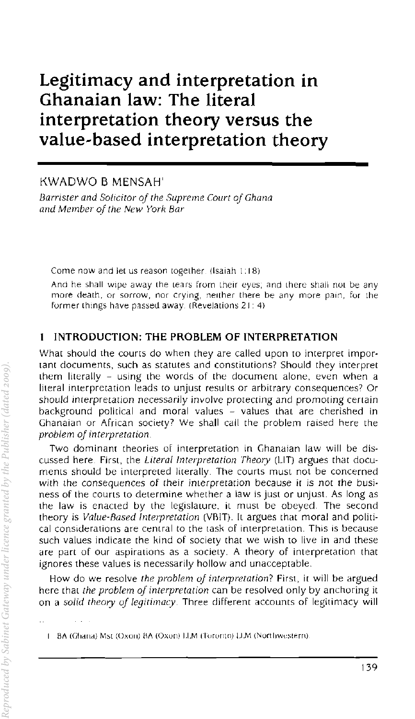# Legitimacy and interpretation in Ghanaian law: The literal interpretation theory versus the value-based interpretation theory

KWADWO B MENSAH'

*Bamster and Solicitor oj the Supreme Court oj Ghana and Member oj the New York Bar* 

Come now and let us reason together. (Isaiah 1:18)

And he shall wipe away the tears from their eyes; and there shall not be any more death. or sorrow, nor crying, neither there be any more pain, for the former things have passed away. (Revelations  $21: 4$ )

#### $\mathbf{1}$ INTRODUCTION: THE PROBLEM OF INTERPRETATION

What should the courrs do when they are called upon to interpret important documents, such as statutes and constitutions? Should they interpret them literally - using the words of the document alone, even when a literal interpretation leads to unjust results or arbitrary consequences? Or should interpretation necessarily involve protecting and promoting cerrain background political and moral values - values that are cherished in Ghanaian or African society' We shall call the problem raised here the *problem oj Interpretation.* 

Two dominant theories of interpretation in Ghanaian law will be discussed here. First, the *Uteral Interpretation Theory* (LIT) argues that documents should be interpreted literally The courts must not be concerned with the consequences of their interpretation because it is not the business of the couns to determine whether a law is just or unjust. As long as the law is enacted by the legislature, it must be obeyed. The second theory is *Value-Based Interpretation* (VRIT). It argues that moral and political considerations are central to the (ask of interpretation. This is because such values indicate the kind of society that we wish to live in and these are part of our aspirations as a society. A theory of interpretation that ignores these values is necessarily hollow and unacceptable.

How do we resolve *the problem oj interpretation?* First. it will be argued here that *the problem oj interpretation* can be resolved only by anchoring it on a *solid theory oj legitimacy.* Three different accounts of legitimacy will

I BA (Ghana) Mst (Oxori) BA (Oxon) LLM (Toronto) LLM (Northwestern)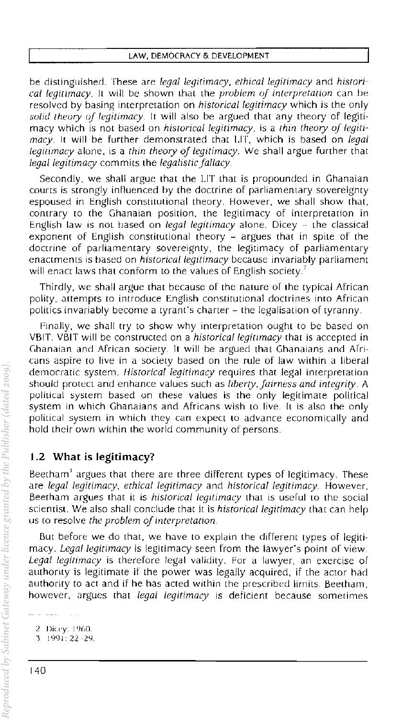be distinguished. These are legal legitimacy, ethical legitimacy and histori*cal legitimacy.* It wIll be shown lhat the *problem oj interpretation* can be resolved by basing interpretation on *historical legitimacy* which is the only *solid theory oj legitimacy.* It will also be argued that any theory of legitimacy which is not based on *historical legitimacy.* is a *thin theory oj legitimacy.* It will be further demonstrated that LIT, which is based on *legal legitimacy* alone, is a *thin theory oj legitimacy.* We shall argue further that *legal legitimacy* commits the *legalistic fallacy*.

Secondly. we shall argue that the LIT that is propounded in Ghanaian courts is strongly influenced by the doctrine of parliamentary sovereignty espoused in English constitutional theory. However, we shall show that, contrary to the Ghanaian position. the legitimacy of interpretation in English law is not based on *legal legitimacy* alone. Dicey - the classical exponent of English constitutional theory - argues that in spite of the doctrine of parliamentary sovereignty. the legitimacy of parliamentary enactments is based on *historical legitimacy* because invariably parliament will enact laws that conform to the values of English society. $3$ 

Thirdly, we shall argue that because of the nature of the typical African polity, attempts to introduce English constitutional doctrines into African politics invariably become a tyrant's charter - the legalisation of tyranny.

Pinally, we shall try to show why interpretation ought to be based on VBIT. VBIT will be constructed on a *historical legitimacy* that is accepted in Chanaian and African society. It will be argued that Ghanaians and Arricans aspire (0 live in a society based on the rule of law wirhin a liberal democratic system. *Historical legitimacy* requires that legal interpretation should protect and enhance values such as *liberty*, fairness and integrity. A political system based on these values is the only legitimate polirical system in which Ghanaians and Africans wish to live. It is also the only political system in which they can expect to advance economically and hold their own within the world community of persons.

# 1.2 What is legitimacy?

Beetham' argues that there are three different types of legitimacy. These are *legal legitimacy, ethical legitimacy* and *historical legitimacy* However. Beerham argues rhat it is *historical legitimacy* that is userul to the social scientist. We also shall conclude that it is *historical legitimacy* that can help us to resolve *the problem oj interpretation.* 

But before we do that, we have to explain the different types of legitimacy. *Legal legitimacy* is legitimacy seen from the lawyer's point of view. Legal legitimacy is therefore legal validity. For a lawyer, an exercise of authOrity is legitimate if the power was legally acquired, if the actor had authority to act and if he has acted within the prescribed limits. Beerham, however, argues that *legal legitimacy* is deficient because sometimes

<sup>2</sup> Dicey: 1960.

<sup>3 1991: 22 -29.</sup>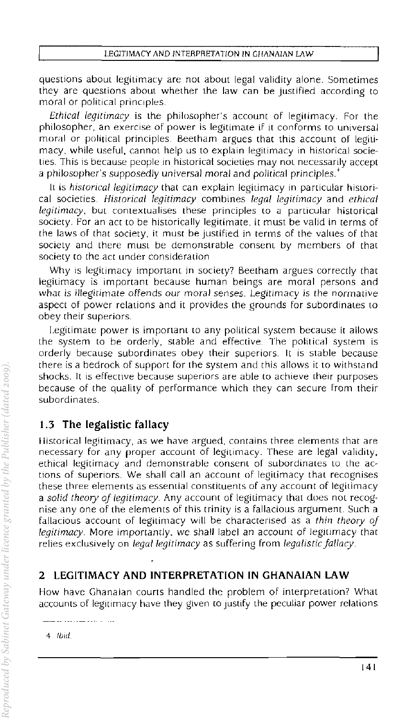questions about legitimacy are not about legal validity alone. Sometimes they are questions about whether the Jaw can be justified according to moral or political principles.

*Ethical legitimacy* is the philosopher's account of legitimacy. For the philosopher, an exercise of power is legitlmate if it conforms to universal moral or political principles. Beetham argues thac this account of legitimacy, while useful, cannot help us to explain legitimacy in historical societies. This is because people in historical societies may not necessarily accept a philosopher's supposedly universal moral and political principles.

It is *historical legitimacy* that can explain legitimacy in particular historical societies. *Historical legitimacy* combines *legal legitimacy* and *ethical legitimacy,* but contextualises these principles to a particular historical SOCiety. For an act to be historically legitimate, it must be valid in terms of the laws of that society, it must be justified in terms of the values of that society and there must be demonstrable consent by members of that society to the act under consideration

Why is legitimacy important in society? Beetham argues correctly that legitimacy is important because human beings are moral persons and what is illegitimate offends our moral senses. Legitimacy is the normative aspect of power relations and it provides the grounds for subordinates to obey (heir superiors.

Legitimate power is important to any political system because it allows the system to be orderly, stable and effective. The political system is orderly because subordinates obey their superiors. It is stable because there is a bedrock of support for the system and this allows it to withstand shocks. It is effective because superiors are able to achieve their purposes because of the quality of performance which they can secure from their subordinates.

# 1.3 The legalistic fallacy

Historical legitimacy, as we have argued, contains three elements that are necessary for any proper account of legitimacy. These are legal validity, ethical legitimacy and demonstrable consent of subordinates to the ac~ tions of superiors. We shall call an account of legitimacy that recognises these three elements as essential constituents of any account of legitimacy a *solid theory oj legitimacy* Any account of legitimacy that does not recognise anyone of the elements of this trinity is a fallacious argument. Such a fallacious account of legitimacy will be characterised as a *thin theory oj legitimacy*. More importantly, we shall label an account of legitimacy that relies exclusively on *legal legitimacy* as suffering from *legalistic fallacy*.

# 2 LEGITIMACY AND INTERPRETATION IN GHANAIAN LAW

How have Ghanaian courts handled the problem of interpretation? What accounts of legitimacy have they given to justify the peculiar power relations

4 Ibid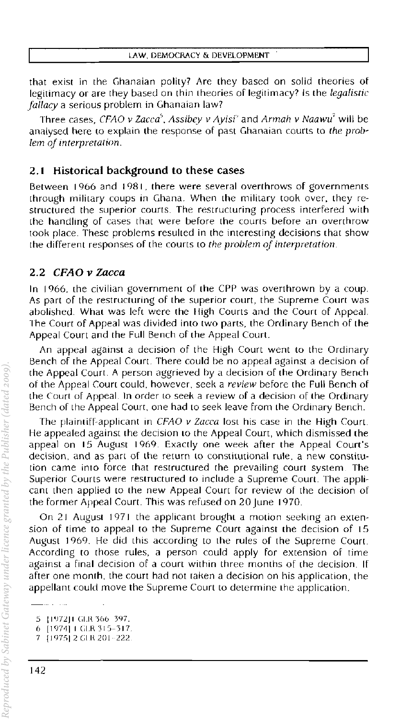that exist in the Ghanaian polity? Are they based on solid theories of legitimacy or are they based on thin theories of legitimacy? Is the *legalistic fallacy* a serious problem in Ghanaian law?

Three cases, CFAO *v Zacca<sup>5</sup>*, Assibey *v Ayisi<sup>2</sup>* and *Armah v Naawu<sup>7</sup> will be* analysed here (0 explain the response of past Ghanaian courts to *the problem oj interpretation.* 

#### 2.1 Historical background to these cases

Between 1966 and 1981, there were several overthrows of governments through military coups in Ghana. When the military took over. they restructured the superior courts. The restructuring process interfered with the handling of cases that were before the courts before an overthrow LOok place. These problems resulted in the interesting decisions that show the different responses of the courts to *the problem of interpretation*.

#### *2.2 CFAO V* Zacca

In J 966, the civilian governmem of the CPP was overthrown by a coup, As part of the restructuring of the superior court, the Supreme Court was abolished. What was left were the lIigh Courts and the Court of Appeal. The Court of Appeal was divided into two parts. the Ordinary Bench of the Appeal Court and the Full Bench of the Appeal Court.

An appeal against a decision of the High Court went to the Ordinary Bench of the Appeal Court. There could be no appeal against a decision of the Appeal Court. A person aggrieved by a decision of the Ordinary Bench of the Appeal Court could, however, seek a *review* before the Full Bench of the Court of Appeal. In order to seek a review of a decision of the Ordinary Bench of the Appeal Court. one had to seek leave from the Ordinary Bench.

The plaintiff-applicant in CFAO *v* Zacca lost his case in the High Court. He appealed against the decision LO the Appeal Court, which dismissed the appeal on 15 August 1969. Exactly one week after the Appeal Coun's decision, and as part of the return to constitutional rule, a new constitution came inro force that restructured the prevailing court system The Superior Courts were restructured to include a Supreme Court. The applicant then applied to the new Appeal Court for review of the decision of the former Appeal Court. This was refused on 20 June 1970.

On 21 August 1971 the applicant brought a motion seeking an extension of time to appeal to the Supreme Court against the decision of 15 August 1969. He did this according to the rules of the Supreme Court. According to those rules. a person could apply for extension of time against a final decision of a court within three months of the decision. If after one month, the court had not laken a decision on his application, the appellant could move the Supreme Court to determine the application.

<sup>5 [1972]</sup> GLR 366 397.

<sup>6 [1974]</sup> I GLR 315-317.

<sup>[1975] 2</sup> GLR 201-222.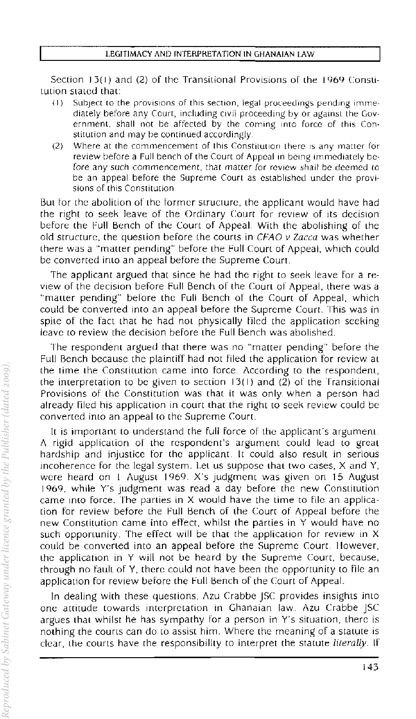Section  $13(1)$  and (2) of the Transitional Provisions of the  $1969$  Constitution slaled that:

- $(1)$  Subject to the provisions of this section, legal proceedings pending immediately before any Court, including civil proceeding by or against the Government, shall not be affected by the coming into force of this Constitution and may be continued accordingly
- (2) Where at the commencement of this Constitution there is any matter for review before a Full bench of the Court of Appeal in being immediately before any such commencement, that matter for review shall be deemed to be an appeal before the Supreme Court as established under the provisions of this Constitution.

But for the abolition of the former structure, the applicant would have had the right to seek leave of the Ordinary Court for review of its decision before the cull Bench of the Court of AppeaL WiIh the abolishing of the old structure. the question before the courts in CFAG *v* Zacca was whether there was a "matter pending" before the full Court of Appeal. which could be converted into an appeal before the Supreme Court.

The applicant argued that since he had Ihe right to seek leave for a review of the decision before Full Bench of the Court oj' Appeal, there was a "matter pending" before the Full Bench of the Court of Appeal, which could be converted into an appeal before the Supreme Courl. This was in spite of the fact that he had not physically tiled the application seeking leave to review the decision before the Full Bench was abolished.

The respondent argued that there was no "maIter pending" before the Full Bench because the plaintiff had not filed the application for review at the time the Constitution came into force\_ According to the respondent, the interpretation to be given to section  $13(1)$  and (2) of the Transitional Provisions of the Constitution was (hat it was only when a person had already filed his application in court that the right to seek review could be converted into an appeal to the Supreme Court.

It is important to understand the full force of the applicant's argument A rigid application of the respondent's argument could lead to great hardship and injustice for the applicant. It could also result in serious incoherence for the legal system. Let us suppose that two cases, X and Y, were heard on I August 1969. X's judgment was given on 15 August 1969. while y's judgment was read a day before the new Constitution came into force. The parties in X would have the lime to file an application for review before the Full Bench of the Court of Appeal before the new Constitution came into effect, whilst the parties in Y would have no such opportunity. The effect will be that the application for review in X could be converted into an appeal before Ihe Supreme Courl. lIowever, the application in Y will not be heard by the Supreme Courr, because, through no fault of Y, there could not have been the opportunity to file an application for review before the full Bench of the Courr of Appeal.

In dealing with these questions, Azu Crabbe JSC provides insights into one attitude towards interpretation in Ghanaian law. Azu Crabbe JSC argues that whilst he has sympathy for a person in Y's situation, there is nothing (he courts can do to assist him. Where the meaning of a statute is clear, the courts have (he responsibility [0 interpret the statute *literally.* **If**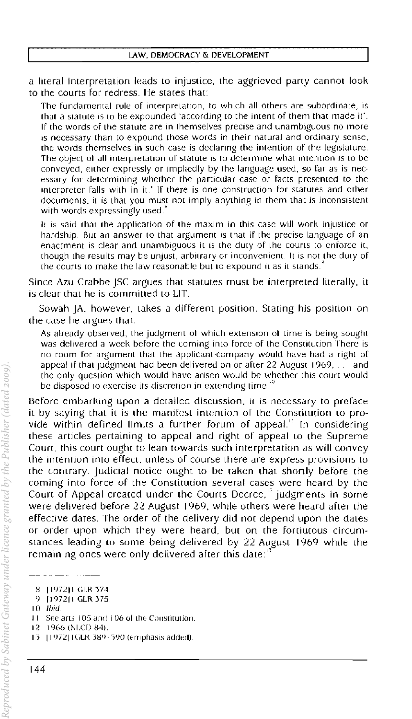a literal interpretation leads to injusLice, the aggrieved party cannot look to the courts for redress. He states that:

The fundamental rule of interpretation, to which all others are subordinate, is that a statute is to be expounded 'according to the intent of them that made it'. If the words of the statute are in themselves precise and unambiguous no more is necessary than to expound those words in their natural and ordinary sense, the words themselves in such case is declaring the intention of the legislature. The object of all imerpretation of statute is to determine what intention is to be conveyed, either expressly or impliedly by the language used, so far as is necessary for determining whether the particular case or facts presented to the interpreter falls with in it.' If there is one construction for statutes and other documents. it is that you must not imply anything in them that is inconsistent with words expressingly used.

It is said that the application of the maxim in this case will work injustice or hardship. But an answer to that argument is that if the precise language of an enactment is clear and unambiguous it is the duty of the courts to enforce it, though the results may be unjust, arbitrary or inconvenient. It is not the duty of the courts to make the law reasonable but to expound it as it stands.

Since Azu Crabbe JSC argues that statutes must be interpreted literally. it is clear that he is committed to LIT.

Sowah JA. however. takes a different position. Stating his pOSition on the case he argues that:

As already observed, the judgment of which extension of time is being sought was delivered a week before the coming into force of the Constitution There is no room for argument that the applicant-company would have had a right of appeal if that judgment had been delivered on or after 22 August 1969, ... and the only question which would have arisen would be whether this court would be disposed to exercise its discretion in extending time.

Before embarking upon a detailed discussion, it is necessary to preface it by saying that it is the manifest intention of the Constitution to pro~ vide within defined limits a further forum of appeal." In considering these articles pertaining to appeal and right of appeal to the Supreme Court, this court ought to lean towards such interpretation as will convey the intention into efFect, unless of course there are express provisions to the contrary. Judicial notice ought to be taken that shortly before the coming into force of the Constitution several cases were heard by the Court of Appeal created under the Courts Decree,<sup>12</sup> judgments in some were delivered before 22 August 1969. while others were heard after the eFFective dates. The order of the delivery did not depend upon the dates or order upon which they were heard, but on the fortiutous circumstances leading to some being delivered by 22 August 1969 while the remaining ones were only delivered after this date:<sup>13</sup>

144

<sup>8 [1972]):</sup> GLR 374.

*q* 1197211 GLR375

<sup>10</sup> [hid

<sup>11</sup> See arts 105 and 106 of the Constitution.

J?- 1966 (NI.CD 84)

<sup>13 [1972]</sup> IGLR 389-390 (emphasis added)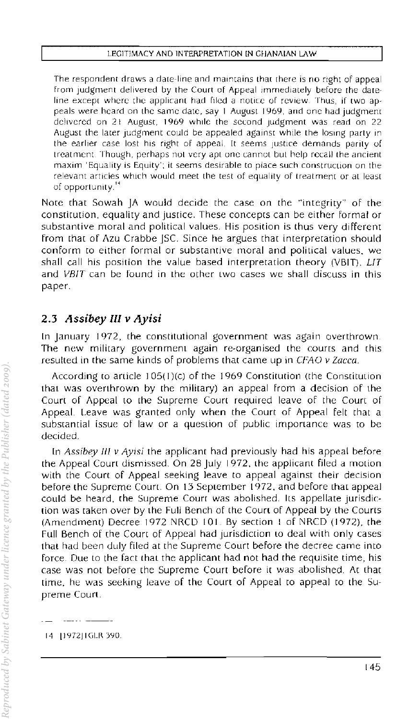The respondent draws a date-line and maintains that there is no right of appeal from judgment delivered by the Court of Appeal immediately before the dateline except where the applicant had flied a notice of review. Thus, jf two appeals were heard on the same date, say 1 August 1969, and one had jUdgment delivered on 21 August, 1969 while the second judgment was read on 22 August the later judgment could be appealed against while the losing party in the earlier case lost his right of appeal. It seems justice demands parity of treatment, Though, perhaps noL very apt one cannot but help recall the ancient maxim 'Equality is Equity': it seems desirable to place such construcllon on the relevant articles which would meet the test of equality of treatment or at least of opportunity.<sup>14</sup>

Note that Sowah JA would decide the case on the "integrity" of the constitution, equality and justice. These concepts can be either forma! or substantive moral and political values. His position is thus very different from that of Azu Crabbe JSc. Since he argues that interpretation should conform to either formal or substantive moral and political values. we shall call hiS position the value based Interpretation theory (VBIT). *LIT*  and VBIT can be found in the other two cases we shall discuss in this paper.

# *2.3 Assibey III V Ayisi*

In January 1972, the constitutional government was again overthrown. The new military government again re-organised the courts and this resulted in the same kinds of problems that came up in CFAO v Zacca.

According to aniele I 05( I )(c) of the 1969 Constitution (the Constitution that was overthrown by the military) an appeal from a decision of the Court of Appeal to the Supreme Court required leave of the Court of Appeal. Leave was granted only when the Court of Appeal felt that a substantial issue of law or a question of public importance was to be decided.

In Assibey III v Ayisi the applicant had previously had his appeal before the Appeal Court dismissed. On 28 July 1972, the applicant filed a motion with the Court of Appeal seeking leave to appeal against their decision before the Supreme Court. On 13 September 1972, and before that appeal could be heard, the Supreme Court was abolished. Its appellate jurisdiction was taken over by the Full Bench of the Court of Appeal by the Courts (Amendment) Decree 1972 NRCD 101. By section I of NRCD (1972). the Full Bench of the Court of Appeal had jurisdiction to deal with only cases that had been duly filed at the Supreme Court before the decree came into force. Due to the fact that the applicant had not had the requisite time, his case was not before the Supreme Court before it was abolished. At (hat time, he was seeking leave of the Court of Appeal to appeal to the Supreme Coun.

14 [1972] IGLR 390.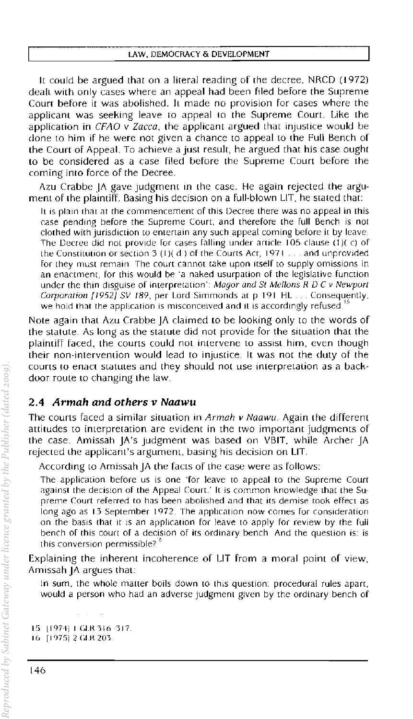It could be argued that on a literal reading of the decree, NRCD (1972) dealt with only cases where an appeal had been filed before the Supreme Court before it was abolished. It made no provision for cases where the applicant was seeking leave to appeal to the Supreme Court. Like the application in CFAO v Zacca, the applicant argued that injustice would be clone to him if he were not given a chance to appeal to the Full Bench of the Court of Appeal. To achieve a just result, he argued that his case ought to be considered as a case filed before the Supreme Court before the coming into force of the Decree.

Azu Crabbe JA gave judgment in the case. He again rejected the argument of the plaintiff. Basing his decision on a full-blown LIT, he stated that:

It is plain that at the commencement of this Decree there was no appeal in this case pending before the Supreme Court, and therefore the full Bench is not clothed with jurisdiction to enlertain any such appeal coming before it by leave The Decree did not provide for cases falling under article 105 clause (1)(c) of the Constitution or section 3 (1)( d ) of the Courts Act,  $1971...$  and unprovided for they must remain. The court cannot take upon itself to supply omissions in an enactment, for this would be 'a naked usurpation of the legislative function under the thin disguise of interpretation": Magor and St Mellons  $R$  D C v Newport Corporation [1952] SV 189, per Lord Simmonds at p 191 HL ... Consequently, we hold that the application is misconceived and it is accordingly refused.

Note again that Azu Crabbe JA claimed to be looking only to the words of the statute. As long as the statute did not provide for the situation that the plaintiff faced, the courts could not intervene to assist him, even though their non-intervention would lead to injustice. It was not the duty of the courts to enact statutes and they should not use interpretation as a backdoor roule to changing the law.

### 2.4 Armah and others v Naawu

The courts faced a similar situation in  $Armah$  v Naawu. Again the different attitudes to interpretation are evident in the two important judgments of the case. Amissah JA's judgment was based on VBIT, while Archer JA rejected the applicant's argument, basing his decision on LIT.

According to Amissah JA the facts of the case were as follows:

The application before us is one 'for leave to appeal to the Supreme Court against the decision of the Appeal Court.' It is common knowledge that the Supreme (ourt referred to has been abolished and that its demise took effect as long ago as 13 September 1972, The application now comes for consideration on the basis that it is an application for leave to apply for review by the full bench of this court of a decision of its ordinary bench And the question is: is this conversion permissible?<sup>1</sup>

Explaining the inherent incoherence of LIT from a moral point of view, Amissah JA argues that

In sum, the whole matter boils down to this question: procedural rules apart, would a person who had an adverse judgment given by the ordinary bench of

15 11974 I GLR 316-317. 16 [1975] 2 GLR 203.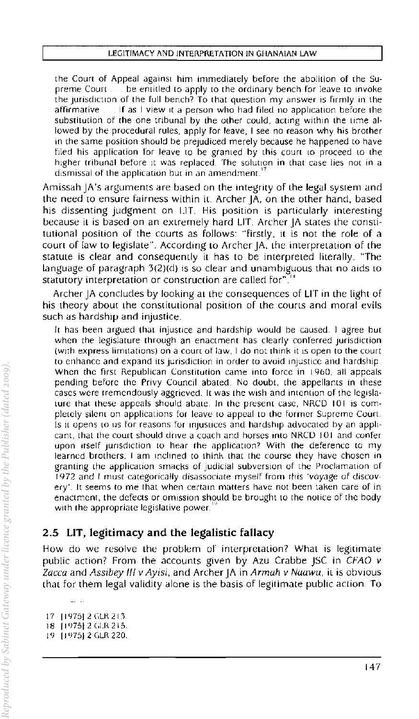the Court of Appeal against him immediately before the abolition of the Supreme Court  $\ldots$  be entitled to apply to the ordinary bench for leave to invoke the jurisdiction of the full bench? To that question my answer is firmly in the affirmative If as I view It a person who had filed no application before the substitution of the one tribunal by the other could, acting within the Lime allowed by the procedural rules, apply for leave, I see no reason why his brother in the same position should be prejudiced merely because he happened to have filed his application for leave to be granted by this court to proceed to the higher tribunal before it was replaced. The solution in that case lies not in a dismissal of the application but in an amendment.

Amissah JA's arguments are based on the integrity of the legal system and the need to ensure fairness within it. Archer JA, on the other hand, based his dissenting judgment on I.IT. His position is particularly interesting because iL is based on an extremely hard LIT. Archer JA states the constitutional position of the courts as follows: "firstly, it is not the role of a court of law to legislate". According to Archer JA, the interpretation of the statute is clear and consequently it has to be interpreted literally. "The language of paragraph 3(2)(d) is so clear and unambiguous that no aids to statutory interpretation or construction are called for".<sup>18</sup>

Archer JA concludes by looking at the consequences of LIT in the light of his theory about the constitutional position of the courts and moral evils such as hardship and injustice.

It has been argued that injustice and hardship would be caused. I agree but when the legislature through an enactment has clearly conferred jurisdiction (with express limitations) on a court of law, I do not think it is open to the court to enhance and expand its jurisdiction in order to avoid injustice and hardship. When the first Republican Constitution came into force in 1960, all appeals pending before the Privy Council abated. No doubt, the appellants in these cases were tremendously aggrieved. It was the wish and intention of the legislature that these appeals should abate. In the present case, NRCD 101 is completely silent on applications for leave to appeal to the former Supreme Court. Is it opens to us for reasons for injustices and hardship advocated by an applicant, that the court should drive a coach and horses Into NRCD 101 and confer upon itself jurisdiction to hear the application? With the deference to my learned brothers, I am inclined to think that the course they have chosen in granting the application smacks of judicial subversion of the Proclamation of r 972 and I must categorically disassociate myself from rhis 'voyage of discovery'. It seems to me that when certain matters have not been taken care of in enactment, the defects or omission should be brought to the notice of the body with the appropriate legislative power.

### 2,5 LIT. legitimacy and the legalistic fallacy

How do we resolve the problem of interpretation? What is legitimate public action? From the accounts given by Azu Crabbe JSC in CFAO *v*  Zacca and Assibey III v Ayisi, and Archer  $|A|$  in Armah v Naawu, it is obvious LhaL for them legal validity alone is the basis of legitimate public action To

<sup>17 [1975] 2</sup> GLR 213

<sup>18</sup>  $[1975]$  2 GLR 215.

<sup>!</sup> I) [J 1)75J 2 (.LR 220.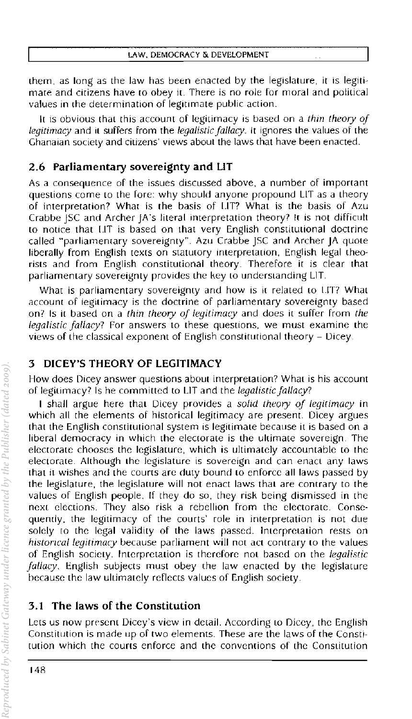them, as long as the law has been enacted by the legislature, it is legiti· mate and citizens have to obey it. There is no role For moral and political values in the determination of legitimate public action.

It is obvious that this account of legitimacy is based on a *thin theory of*  legitimacy and it suffers from the *legalistic fallacy*. It ignores the values of the Ghanaian society and citizens' views about the laws that have been enacted.

#### 2.6 Parliamentary sovereignty and LIT

As a consequence of the issues discussed above, a number of important questions come to the Fore: why should anyone propound LIT as a theory of interpretation? What is the basis of LIT? What is the basis of Azu Crabbe JSC and Archer JA's literal interpretation theory? It is not difficult to notice that LIT is based on that very English constitutional doctrine called "parliamentary sovereignty". Azu Crabbe JSC and Archer JA quote liberally from English texts on statutory interpretation. English legal theo· rists and From English constitutional theory. ThereFore it is clear that parliamentary sovereignty provides the key to understanding LIT.

What is parliamentary sovereignty and how is it related to LIT? What account of legitimacy is the doctrine of parliamentary sovereignty based on? Is it based on a *thin theory of legitimacy* and does it suffer from the *legalistic fallacy?* For answers to these questions, we must examine the views of the classical exponent of English constitutional theory - Dicey.

#### 3 DICEY'S THEORY OF LEGITIMACY

How does Dicey answer questions about interpretation? What is his account of legitimacy? Is he committed to LIT and the *legalistic fallacy*?

I shall argue here that Dicey provides a *solid theory of legitimacy* in which all the elements of historical legitimacy are present. Dicey argues that the English constitutional system is legitimate because it is based on a liberal democracy in which the electorate is the ultimate sovereign. The electorate chooses the legislature, which is ultimately accountable to the electorate. Although the legislature is sovereign and can enact any laws that it wishes and the courts are duty bound to enForce all laws passed by the legislature, the legislature will not enact laws that are contrary to the values of English people. If they do so. they risk being dismissed in the next elections. They also risk a rebellion From the electorate. Consequently, the legitimacy of the courts' role in interpretation is not due solely to the legal validity of the laws passed. Interpretation rests on *historical legitimacy* because parliament will not act contrary to the values of English SOCiety. Interpretation is therefore not based on the *legalistic fallacy.* English subjects must obey the law enacted by the legislature because the law ultimately reflects values of English society.

# 3.1 The laws of the Constitution

Lets us now present Dicey's view in detail. According to Dicey, the English Constitution is made up of two elements. These are the laws of (he Constitution which the courts enforce and the conventions of the Constitution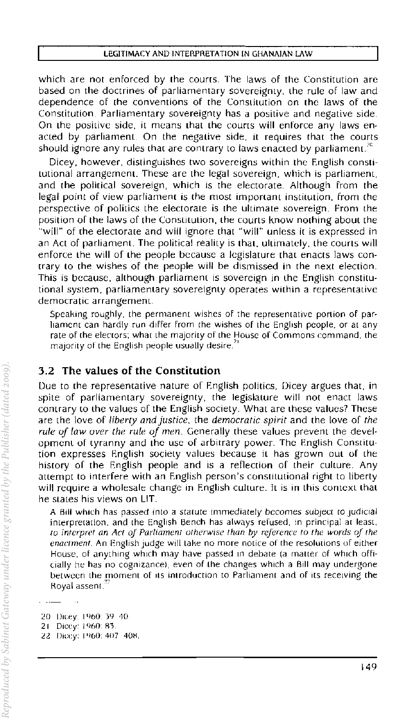#### LEGITIMACY AND INTERPRETATION IN GHANAIAN LAW

which are not enforced by the couns. The laws of the Constitution are based on the doctrines of parliamentary sovereignty, Ihe rule of law and dependence of the conventions of the Constitution on the laws of the Constitution. Parliamentary sovereignty has a positive and negative side. On the positive side, it means that the courts will enforce any laws enacted by parliament. On the negative side, it requires that the courts should ignore any rules that are contrary to laws enacted by parliament.<sup>30</sup>

Dicey, however, distinguishes two sovereigns within the English constitutional arrangement. These are the legal sovereign, which is parliament, and the political sovereign, which is the electorate. Although from the legal point of view parliament is the most important institution, from the perspective of politics the electorate is the ultimate sovereign. From the position of the laws of the Constitution, the courts know nothing about the "will" of the electorate and will ignore that "will" unless it is expressed in an ACI of parliament. The political reality is Ihat, ultimately, the courts will enforce the will of the people because a legislature that enacts laws contrary to the wishes of the people will be dismissed in the next election. This is because, although parliament is sovereign in the English constitutional system, parliamenlary sovereignly operates within a representalive democratic arrangement.

Speakmg roughly, the permanent wishes of the representative portion of parliament can hardly run differ from the wishes of the English people, or at any rate of the electors; what the majority of the House of Commons command, the majority of the English people usually desire.<sup>1</sup>

#### 3,2 The values of the Constitution

Due to the representative nature of English politics, Dicey argues that, in spite of parliamentary sovereignty, the legislature will not enact laws contrary to the values of the English society. Whal are these values? These are the love of *liberty and Justice,* the *democratic spirit* and the love of *the rule oj law over the rule oj men,* Generally these values prevent Ihe development of tyranny and the lise of arbitrary power. The English Constitution expresses English society values because it has grown out of lhe history of the English people and is a reflection of their culture. Any attempt to interfere with an English person's constitutional right to liberty will require a wholesale change in English culture. It is in this context that he stales his views on LIT.

A Bill which has passed into a statute immediately becomes subject to judicial interpretation, and the EnglIsh Bench has always refused, In principal at least, *to interpret an Act* 0/ *Parliament otherwise than* by *reference to the words oj the enactment.* An English judge will take no more notice of the resolutions of either House, of anything which may have passed in debate (a matter of which officially he has no cognizance), even of the changes which a Bill may undergone between the moment of its introduction to Parliament and of its receiving the Royal assent.

20 Dicey: 1960: 39-40 21 Dicey: 1960: 83 22 Dicey: 1960: 407 408.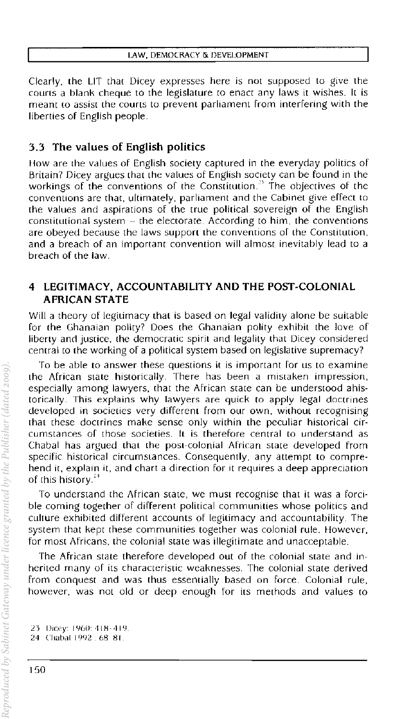Clearly. the LIT that Dicey expresses here is not supposed to give the courts a blank cheque to the legislature to enact any laws it wishes. It is meant co assist the courts to prevent parliament from interfering with the liberties of English people.

# 3.3 The values of English politics

How are the values of English society captured in the everyday politics of Britain? Dicey argues that the values of English society can be found in the workings of the conventions of the Constitution.<sup>33</sup> The objectives of the conventions are that, ultimately, parliament and the Cabinet give effect to the values and aspirations of the true political sovereign of the English constitutional system  $-$  the electorate. According to him, the conventions are obeyed because the laws support the conventions of the Constitution, and a breach of an imporrant convention will almost inevitably lead to a breach of the law.

#### 4 LEGITIMACY, ACCOUNTABILITY AND THE POST-COLONIAL AFRICAN STATE

Will a theory of legitimacy that is based on legal validity alone be suitable for the Ghanaian polity? Does the Ghanaian polity exhibit the love of liberty and justice. the democratic spirit and legality that Dicey considered central to the working of a political system based on legislative supremacy?

To be able to answer these questions it is important for us to examine the African state hiscorically. There has been a mistaken impression. especially among lawyers. that the African state can be understood ahistorically. This explains why lawyers are quick to apply legal doctrines developed in societies very different from our own. without recognising that these doctrines make sense only within the peculiar historical circumstances of those societies. It is therefore central to understand as Chabal has argued that the post-colonial Arrican state developed from specific historical circumstances. Consequently. any attempt to comprehend it, explain it, and chart a direction for it requires a deep appreciation of this history.<sup>34</sup>

To understand the African state. we must recognise that it was a forcible coming together of different political communities whose politics and culture exhibited different accounts of legitimacy and accountability. The system that kept these communities together was colonial rule. However. for most Africans, the colonial state was illegitimate and unacceptable.

The African state therefore developed out of the colonial state and inherited many of its characteristic weaknesses. The colonial state derived from conquest and was thus essentially based on force. Colonial rule. however, was not old or deep enough for its methods and values to

23 Dicey: 1960: 418-419 24 Chabal 1992 . 68 81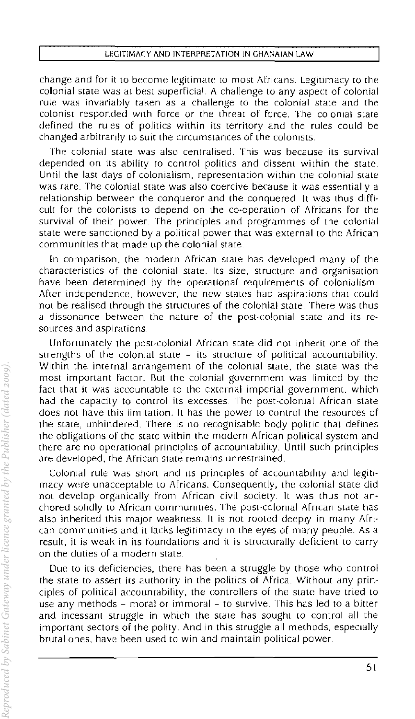#### LEGITIMACY AND INTERPRETATION IN GHANAIAN LAW

change and for it to become legitimate to most Africans. Legitimacy to the colonial state was at best superficial. A challenge to any aspect of colonial rule was invariably taken as a challenge to the colonial state and the colonist responded with force or the threat of force. The colonial state defined the rules of politics within its territory and the rules could be changed arbitrarily to suit the circumstances of the colonists.

The colonial state was also centralised. This was because its survival depended on its ability to control politics and dissent within the statc. Until the last days of colonialism, representation within the colonial state was rare. The colonial state was also coercive because it was essentially a relationship between the conqueror and the conquered It was thus difficult for the colonists to depend on the co·opcration of Africans for the survival of their power. The principles and programmes of the colonial state were sanctioned by a political power that was external to the African communities that made up the colonial state.

In comparison, the modern African state has developed many of the characteristics of the colonial state. Its size. structure and organisation have been determined by the operational requirements of colonialism. After independence, however, the new states had aspirations that could not be realised through the structures of the colonial state. There was thus a dissonance between the nature of the post~colonial state and its re· sources and aspirations.

Unfortunately the post~colonial African state did not inherit one of the strengths of the colonial state - its structure of political accountability. Within the internal arrangement of the colonial state, the state was the most important factor. But the colonial government was limited by the fact that it was accountable to the external imperial government, which had the capacity to control its excesses. The post-colonial African state does not have this limitation. It has the power to control the resources of the state, unhindered. There is no recognisable body politic that defines the obligations of the state within the modern African political system and there are no operational principles of accountability. Until such principles are developed, the African state remains unrestrained.

Colonial rule was short and its principles of accountability and legitimacy were unacceptable to Africans. Consequently, the colonial state did not develop organically from African civil society. It was thus not an· chored solidly to African communities. The post-colonial African state has also inherited this major weakness. It is not rooted deeply in many African communities and it lacks legitimacy in the eyes of many people. As a result, it is weak in its foundations and it is structurally deficient to carry on the duties of a modern state.

Due to its deficiencies, there has becn a struggle by those who control the State to assert its authority in the politics of Africa. Without any prin~ ciples of political accountability, the controllers of the state have tried to use any methods - moral or immoral - to survive. This has led to a bitter and incessant struggle in which the state has sought to control all the important sectors of the polity. And in this struggle all methods, especially brutal ones, have been used to win and maintain political power.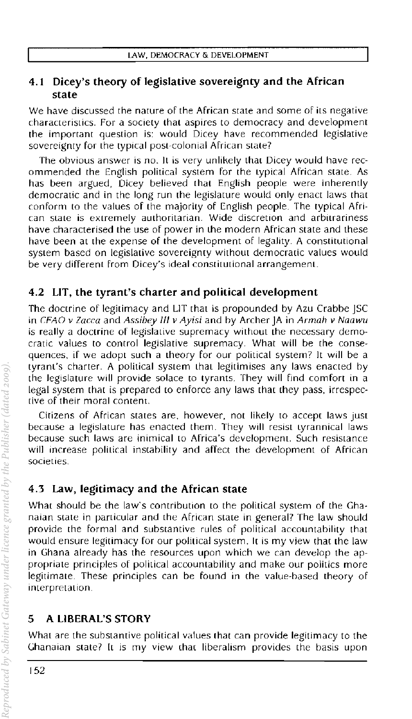### 4.1 Dicey's theory of legislative sovereignty and the African state

We have discussed the nature of the African state and some of its negative characteristics. For a society that aspires to democracy and development the important question is: would Dicey have recommended legislative sovereignty for the typical post-colonial African state?

The obvious answer is no. It is very unlikely that Dicey would have recommended the English political system for the typical African state. As has been argued, Dicey believed that English people were inherently democratic and in the long run the legislature would only enact laws that conform to the values of the majority of English people. The typical African SLate is extremely authoritarian. Wide discretion and arbitrariness have characterised the use of power in the modern African state and these have been at the expense of the development of legality. A constitutional system based on legislative sovereignty without democratic values would be very different from Dicey's ideal constitutional arrangement.

# 4.2 LIT, the tyrant's charter and political development

The doctrine of legitimacy and LIT that is propounded by Azu Crabbe JSC in *(;fAO* v *laeea* and *Assibey III v Ayisi* and by Archer JA in *Armah v Naawu*  is really a doctrine of legislative supremacy without the necessary democratic values to control legislative supremacy. What will be the conse· quences, if we adopt such a theory for our political system? It will be a tyrant's charter. A political system that legitimises any laws enacted by the legislature will provide solace to tyrants. They will find comfort in a legal system that is prepared to enforce any laws that they pass, irrespecrive of their moral content.

Citizens of African states are, however, not likely to accept laws just because a legislature has enacted them. They will resist Lyrannical laws because such laws are inimical to Africa's development. Such resistance will increase political instability and affect the development of African societies.

# 4.3 Law, legitimacy and the African state

What should be the law's contribution to the political system of the Ghanaian state in particular and the African state in general? The law should provide the formal and substantive rules of political accountability that would ensure legitimacy for our political system, It is my view that the law in Ghana already has the resources upon which we can develop the appropriate principles of political accountability and make our politics more legitimate. These principles can be found in the value-based theory of interpretation.

# 5 A LIBERAL'S STORY

What are the substantive political values that can provide legitimacy to the Ghanaian state? It is my view that liberalism provides the basis upon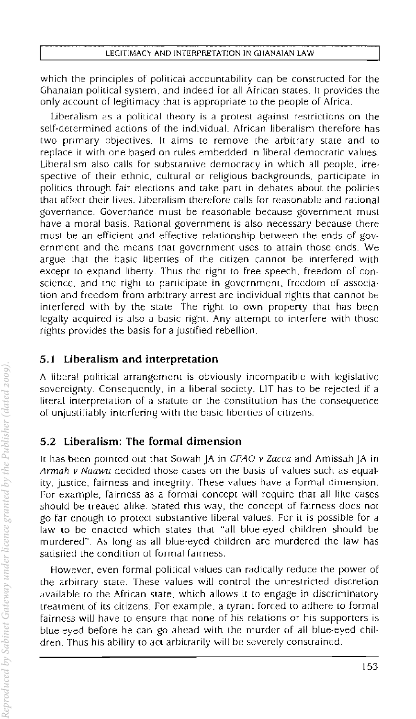which the principles of political accountability can be constructed for the Ghanaian political system, and indeed for all African states. It provides the only account of legitimacy that is appropriate to the people of Africa.

Liberalism as a political theory is a protest against restriclions on the self-determined actions of the individual. African liberalism therefore has two primary objectives. It aims to remove the arbitrary state and to replace it with one based on rules embedded in liberal democratic values. Liberalism also calls for substantive democracy in which all people. irrespective of their ethnic, cultural or religious backgrounds, participate in polities through fair elecrions and take pan in debates about the policies that affect their lives. Liberalism therefore calls for reasonable and rational governance. Governance must be reasonable because government must have a moral basis. Rational government is also necessary because there must be an efficient and effective relationship between the ends of government and the means that government uses to attain those ends. We argue that the basic liberties of the citizen cannot be interfered with except to expand liberty. Thus the right to free speech, freedom of conscience. and the right to participate in government, freedom of association and freedom from arbitrary arrest are individual rights that cannot be interfered with by the state. The right to own property that has been legally acquired is also a basic right. Any attempt to interfere with those rights provides the basis for a justified rebellion.

### 5.1 Liberalism and interpretation

A liberal political arrangement is obviously incompatible with legislative sovereignty. Consequently. in a liberal society. LIT has to be rejected if a literal interpretation of a statute or the constitution has the consequence of unjustifiably interfering with the basic liberties of citizens.

# 5.2 Liberalism: The formal dimension

it has been pOinted out that Sowah JA in CFAO *v* Zacca and Amissah JA in Armah v Naawu decided those cases on the basis of values such as equality, justice, fairness and integrity. These values have a formal dimension. For example, fairness as a formal concept will require that aJi like cases should be treated alike. Stated this way, the concept of fairness does not go far enough to protect substantive liberal values. For it is possible for a law to be enacted which states that "all blue-eyed children should be murdered". As long as all blue-eyed children are murdered the law has satisfied the condition of formal fairness.

However, even formal political values can radically reduce the power of the arbitrary state. These values will control the unrestricted discretion available to the African state, which allows it to engage in discriminatory treatment of its citizens. for example, a tyrant forced to adhere to formal fairness will have to ensure that none of his relations or his supporters is blue-eyed before he can go ahead with the murder of all blue-eyed children. Thus his ability to act arbitrarily will be severely constrained.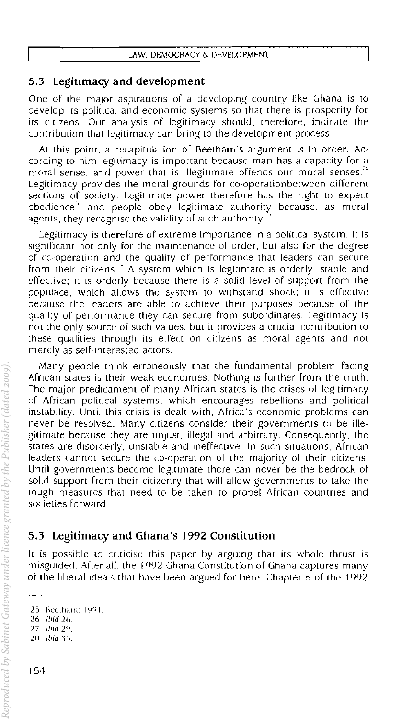#### 5.3 Legitimacy and development

One of the major aspirations of a developing country like Ghana is to develop irs political and economic systems so that there is prosperity for its citizens. Our analysis of legitimacy should, therefore, indicate the contribution that legitimacy can bring to the development process.

At this point, a recapitulation of Beetham's argument is in order. According to him legitimacy is important because man has a capacity for a moral sense, and power that is illegitimate offends our moral senses.<sup>25</sup> Legitimacy provides the moral grounds for co-operation between different sections of SOCiety. Legitimate power therefore has the right to expect obedience<sup>to</sup> and people obey legitimate authority because, as moral agents, they recognise the validity of such authority.

Legitimacy is therefore of extreme importance in a political system. It is Significant not only for the maintenance of order, but also for the degree of co-operation and the quality of performance that leaders can secure from their citizens.<sup>38</sup> A system which is legitimate is orderly, stable and effective; it is orderly because there is a solid level of support from the populace, which allows the system to withstand shock; it is effective because the leaders are able to achieve their purposes because of the quality of performance they can secure from subordinates. Legitimacy is not the only source of such values, but it provides a crucial contribution to these qualities through its effect on citizens as moral agents and not merely as self-interested actors.

Many pearle think erroneously that the fundamental problem facing African Slates is lheir weak economies. Nothing is further from the truth. The major predicament of many African states is the crises of legitimacy of African political systems, which encourages rebellions and political instability. Until this crisis is dealt with, Africa's economic problems can never be resolved. Many citizens consider their governments to be illegitimate because they are unjust. illegal and arbitrary. Consequently. the states are disorderly, unstable and ineffective. **In** such situations, African leaders cannot secure the co-operation of the majority of their citizens. **Until** governments become legitimate there can never be the bedrock of solid support from their citizenry that will allow governments to take the tough measures that need to be taken to propel African countries and societies forward.

### 5.3 Legitimacy and Ghana's 1992 Constitution

**It** is possihle to criticise this paper by arguing that its whole thrust is misguided. After all, the 1992 Ghana Constitution of Ghana captures many of the liberal ideals that have been argued for here. Chapter 5 of the 1992

25: Beethand: 1991. *26 'lJid 26*  27 Ibid 29. 28 Ibid 33.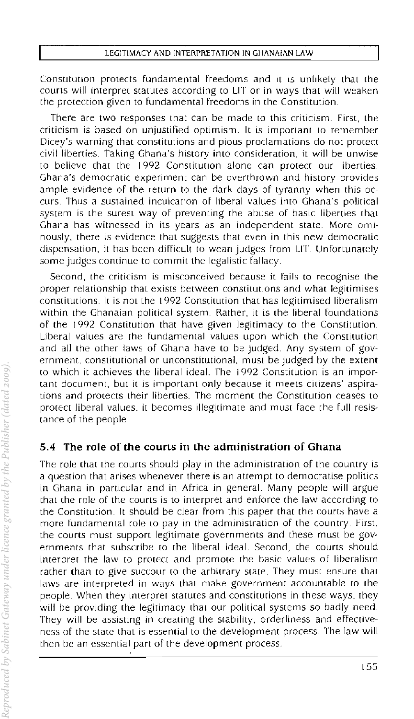Constitution protects fundamental freedoms and it is unlikely that the courts will interpret statutes according to LIT or in ways that will weaken the protection given to fundamental freedoms in the Constitution.

There are two responses that can be made to this criticism. First, the criticism is based on unjustified optimism. It is important to rernember Dicey's warning that constitutions and pious proclamations do not protect civil liberties. Taking Ghana's history into consideration, it will be unwise to believe that the 1992 Constitution alone can protect our liberties. Ghana's democratic experiment can be overthrown and history provides ample evidence of the return to the dark days of tyranny when this occurs. Thus a sustained inculcation of liberal values into Ghana's political system is the surest way of preventing the abuse of basic liberties that Ghana has witnessed in its years as an independent state. More ominously, there is evidence that suggests that even in this new democratic dispensation, it has been difficult to wean judges from LIT. Unfortunately some judges continue to commit the legalistic fallacy.

Second, the criticism is misconceived because it fails to recognise the proper relationship that exists between constitutions and what legitimises constitutions. It is not the 1992 Constitution that has legitimised liberalism within the Ghanaian political system. Rather, it is the liberal foundations of the 1992 Constitution that have given legitimacy to the Constilution. Liberal values are the fundamental values upon which the Constitution and all the other laws of Ghana have to be Judged. Any system of government, constitutional or unconstitutional, must be judged by the extent to which it achieves the liberal ideal. The 1992 Constitution is an important document, but it is important only because it meets citizens' aspirations and protects their liberties. The moment the Constitution ceases to protect liberal values, it becomes illegitimate and must face the full resistance of the people.

### *5A* The role of the courts in the administration of Ghana

The role that the courts should play in the administration of the country is a question that arises whenever there is an attempt to democratise polities in Ghana in particular and in Africa in general. Many people will argue that the role of the courts is to interpret and enforce the law according to the Constitution. It should be clear from this paper that the courts have a more fundamental role to pay in the administration of the country. First, the courts must support legitimate governments and these must be governments that subscribe to the liberal ideal. Second, the courts should interpret the law to protect and promote the basic values of liberalism rather (han (0 give succour to the arbitrary state. They must ensure that laws are interpreted in ways that make government accountable to the people. When they interpret statutes and constitutions in these ways, they will be providing the legitimacy that our political systems so badly need. They will be assisting in creating the stability, orderliness and effecliveness of the state that is essential to the development process The law will then be an essential part of the development process.